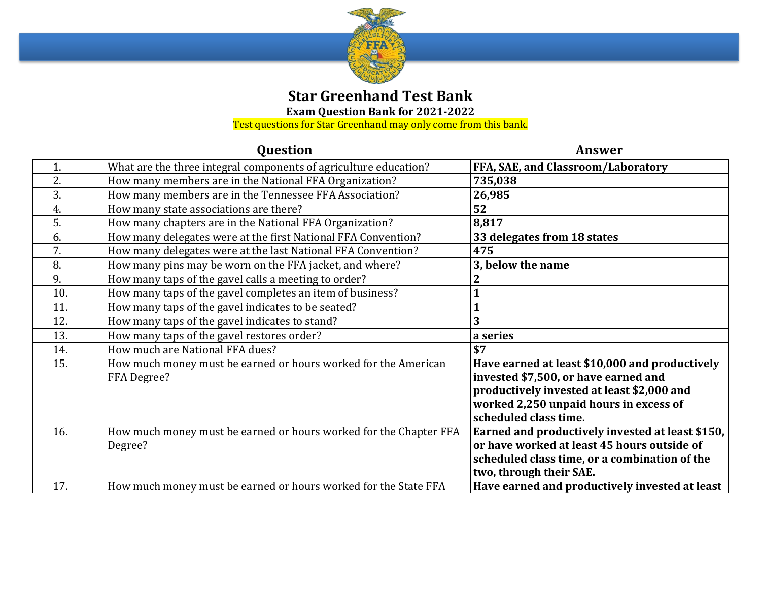

## **Star Greenhand Test Bank**

**Exam Question Bank for 2021-2022**

<u>Test questions for Star Greenhand may only come from this bank.</u>

|     | Question                                                                      | <b>Answer</b>                                                                                                                                                                                           |
|-----|-------------------------------------------------------------------------------|---------------------------------------------------------------------------------------------------------------------------------------------------------------------------------------------------------|
| 1.  | What are the three integral components of agriculture education?              | FFA, SAE, and Classroom/Laboratory                                                                                                                                                                      |
| 2.  | How many members are in the National FFA Organization?                        | 735,038                                                                                                                                                                                                 |
| 3.  | How many members are in the Tennessee FFA Association?                        | 26,985                                                                                                                                                                                                  |
| 4.  | How many state associations are there?                                        | 52                                                                                                                                                                                                      |
| 5.  | How many chapters are in the National FFA Organization?                       | 8,817                                                                                                                                                                                                   |
| 6.  | How many delegates were at the first National FFA Convention?                 | 33 delegates from 18 states                                                                                                                                                                             |
| 7.  | How many delegates were at the last National FFA Convention?                  | 475                                                                                                                                                                                                     |
| 8.  | How many pins may be worn on the FFA jacket, and where?                       | 3, below the name                                                                                                                                                                                       |
| 9.  | How many taps of the gavel calls a meeting to order?                          |                                                                                                                                                                                                         |
| 10. | How many taps of the gavel completes an item of business?                     |                                                                                                                                                                                                         |
| 11. | How many taps of the gavel indicates to be seated?                            |                                                                                                                                                                                                         |
| 12. | How many taps of the gavel indicates to stand?                                | 3                                                                                                                                                                                                       |
| 13. | How many taps of the gavel restores order?                                    | a series                                                                                                                                                                                                |
| 14. | How much are National FFA dues?                                               | \$7                                                                                                                                                                                                     |
| 15. | How much money must be earned or hours worked for the American<br>FFA Degree? | Have earned at least \$10,000 and productively<br>invested \$7,500, or have earned and<br>productively invested at least \$2,000 and<br>worked 2,250 unpaid hours in excess of<br>scheduled class time. |
| 16. | How much money must be earned or hours worked for the Chapter FFA<br>Degree?  | Earned and productively invested at least \$150,<br>or have worked at least 45 hours outside of<br>scheduled class time, or a combination of the<br>two, through their SAE.                             |
| 17. | How much money must be earned or hours worked for the State FFA               | Have earned and productively invested at least                                                                                                                                                          |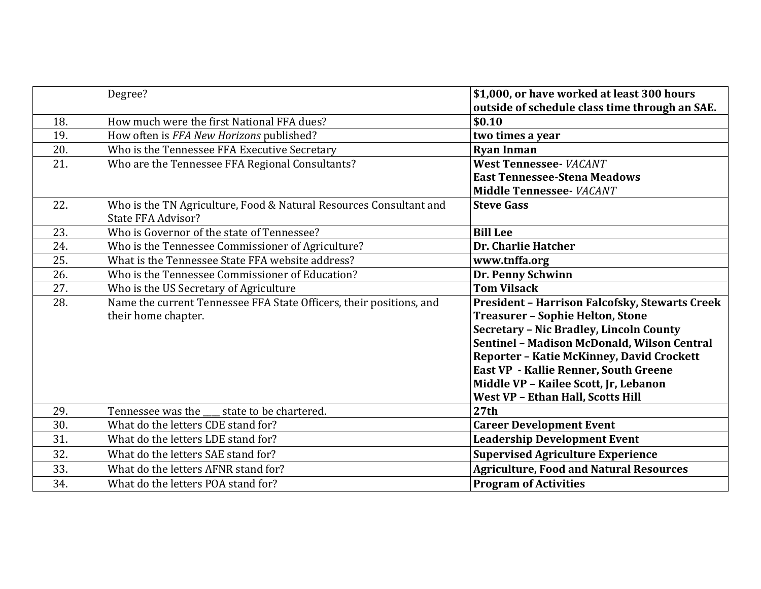|     | Degree?                                                                                         | \$1,000, or have worked at least 300 hours<br>outside of schedule class time through an SAE. |
|-----|-------------------------------------------------------------------------------------------------|----------------------------------------------------------------------------------------------|
| 18. | How much were the first National FFA dues?                                                      | \$0.10                                                                                       |
| 19. | How often is FFA New Horizons published?                                                        | two times a year                                                                             |
| 20. | Who is the Tennessee FFA Executive Secretary                                                    | <b>Ryan Inman</b>                                                                            |
| 21. | Who are the Tennessee FFA Regional Consultants?                                                 | <b>West Tennessee- VACANT</b>                                                                |
|     |                                                                                                 | <b>East Tennessee-Stena Meadows</b>                                                          |
|     |                                                                                                 | Middle Tennessee- VACANT                                                                     |
| 22. | Who is the TN Agriculture, Food & Natural Resources Consultant and<br><b>State FFA Advisor?</b> | <b>Steve Gass</b>                                                                            |
| 23. | Who is Governor of the state of Tennessee?                                                      | <b>Bill Lee</b>                                                                              |
| 24. | Who is the Tennessee Commissioner of Agriculture?                                               | Dr. Charlie Hatcher                                                                          |
| 25. | What is the Tennessee State FFA website address?                                                | www.tnffa.org                                                                                |
| 26. | Who is the Tennessee Commissioner of Education?                                                 | Dr. Penny Schwinn                                                                            |
| 27. | Who is the US Secretary of Agriculture                                                          | <b>Tom Vilsack</b>                                                                           |
| 28. | Name the current Tennessee FFA State Officers, their positions, and                             | <b>President - Harrison Falcofsky, Stewarts Creek</b>                                        |
|     | their home chapter.                                                                             | <b>Treasurer - Sophie Helton, Stone</b>                                                      |
|     |                                                                                                 | <b>Secretary - Nic Bradley, Lincoln County</b>                                               |
|     |                                                                                                 | Sentinel - Madison McDonald, Wilson Central                                                  |
|     |                                                                                                 | Reporter - Katie McKinney, David Crockett                                                    |
|     |                                                                                                 | <b>East VP</b> - Kallie Renner, South Greene                                                 |
|     |                                                                                                 | Middle VP - Kailee Scott, Jr, Lebanon                                                        |
|     |                                                                                                 | <b>West VP - Ethan Hall, Scotts Hill</b>                                                     |
| 29. | state to be chartered.<br>Tennessee was the                                                     | 27th                                                                                         |
| 30. | What do the letters CDE stand for?                                                              | <b>Career Development Event</b>                                                              |
| 31. | What do the letters LDE stand for?                                                              | <b>Leadership Development Event</b>                                                          |
| 32. | What do the letters SAE stand for?                                                              | <b>Supervised Agriculture Experience</b>                                                     |
| 33. | What do the letters AFNR stand for?                                                             | <b>Agriculture, Food and Natural Resources</b>                                               |
| 34. | What do the letters POA stand for?                                                              | <b>Program of Activities</b>                                                                 |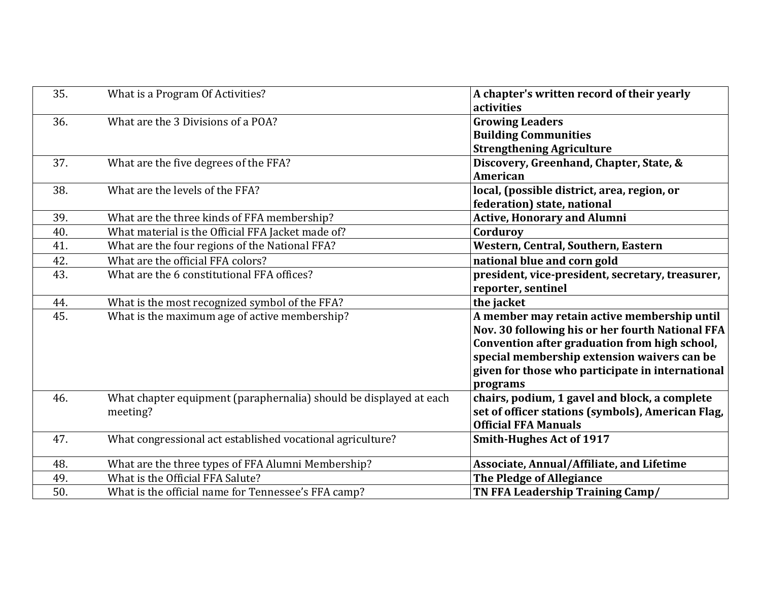| 35. | What is a Program Of Activities?                                   | A chapter's written record of their yearly        |
|-----|--------------------------------------------------------------------|---------------------------------------------------|
|     |                                                                    | activities                                        |
| 36. | What are the 3 Divisions of a POA?                                 | <b>Growing Leaders</b>                            |
|     |                                                                    | <b>Building Communities</b>                       |
|     |                                                                    | <b>Strengthening Agriculture</b>                  |
| 37. | What are the five degrees of the FFA?                              | Discovery, Greenhand, Chapter, State, &           |
|     |                                                                    | American                                          |
| 38. | What are the levels of the FFA?                                    | local, (possible district, area, region, or       |
|     |                                                                    | federation) state, national                       |
| 39. | What are the three kinds of FFA membership?                        | <b>Active, Honorary and Alumni</b>                |
| 40. | What material is the Official FFA Jacket made of?                  | Corduroy                                          |
| 41. | What are the four regions of the National FFA?                     | Western, Central, Southern, Eastern               |
| 42. | What are the official FFA colors?                                  | national blue and corn gold                       |
| 43. | What are the 6 constitutional FFA offices?                         | president, vice-president, secretary, treasurer,  |
|     |                                                                    | reporter, sentinel                                |
| 44. | What is the most recognized symbol of the FFA?                     | the jacket                                        |
| 45. | What is the maximum age of active membership?                      | A member may retain active membership until       |
|     |                                                                    | Nov. 30 following his or her fourth National FFA  |
|     |                                                                    | Convention after graduation from high school,     |
|     |                                                                    | special membership extension waivers can be       |
|     |                                                                    | given for those who participate in international  |
|     |                                                                    | programs                                          |
| 46. | What chapter equipment (paraphernalia) should be displayed at each | chairs, podium, 1 gavel and block, a complete     |
|     | meeting?                                                           | set of officer stations (symbols), American Flag, |
|     |                                                                    | <b>Official FFA Manuals</b>                       |
| 47. | What congressional act established vocational agriculture?         | <b>Smith-Hughes Act of 1917</b>                   |
| 48. | What are the three types of FFA Alumni Membership?                 | Associate, Annual/Affiliate, and Lifetime         |
| 49. | What is the Official FFA Salute?                                   | <b>The Pledge of Allegiance</b>                   |
| 50. | What is the official name for Tennessee's FFA camp?                | TN FFA Leadership Training Camp/                  |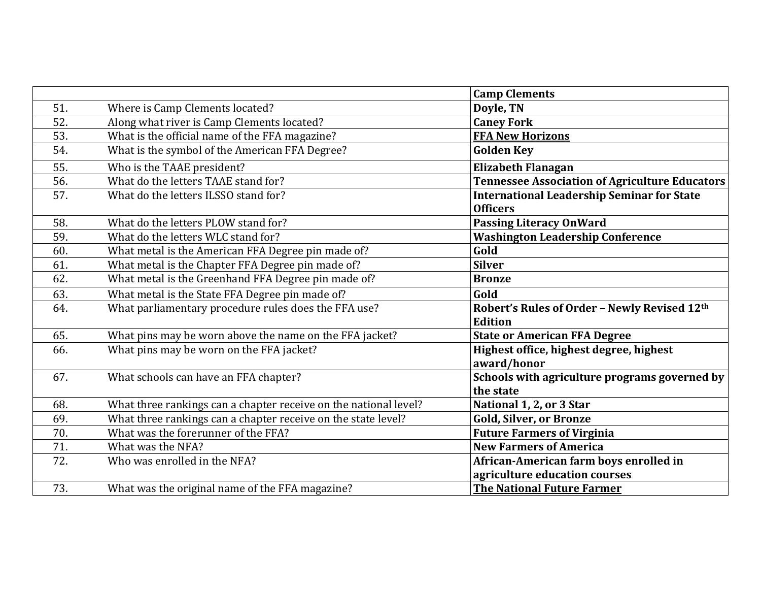|     |                                                                  | <b>Camp Clements</b>                                  |
|-----|------------------------------------------------------------------|-------------------------------------------------------|
| 51. | Where is Camp Clements located?                                  | Doyle, TN                                             |
| 52. | Along what river is Camp Clements located?                       | <b>Caney Fork</b>                                     |
| 53. | What is the official name of the FFA magazine?                   | <b>FFA New Horizons</b>                               |
| 54. | What is the symbol of the American FFA Degree?                   | <b>Golden Key</b>                                     |
| 55. | Who is the TAAE president?                                       | <b>Elizabeth Flanagan</b>                             |
| 56. | What do the letters TAAE stand for?                              | <b>Tennessee Association of Agriculture Educators</b> |
| 57. | What do the letters ILSSO stand for?                             | <b>International Leadership Seminar for State</b>     |
|     |                                                                  | <b>Officers</b>                                       |
| 58. | What do the letters PLOW stand for?                              | <b>Passing Literacy OnWard</b>                        |
| 59. | What do the letters WLC stand for?                               | <b>Washington Leadership Conference</b>               |
| 60. | What metal is the American FFA Degree pin made of?               | Gold                                                  |
| 61. | What metal is the Chapter FFA Degree pin made of?                | <b>Silver</b>                                         |
| 62. | What metal is the Greenhand FFA Degree pin made of?              | <b>Bronze</b>                                         |
| 63. | What metal is the State FFA Degree pin made of?                  | Gold                                                  |
| 64. | What parliamentary procedure rules does the FFA use?             | Robert's Rules of Order - Newly Revised 12th          |
|     |                                                                  | <b>Edition</b>                                        |
| 65. | What pins may be worn above the name on the FFA jacket?          | <b>State or American FFA Degree</b>                   |
| 66. | What pins may be worn on the FFA jacket?                         | Highest office, highest degree, highest               |
|     |                                                                  | award/honor                                           |
| 67. | What schools can have an FFA chapter?                            | Schools with agriculture programs governed by         |
|     |                                                                  | the state                                             |
| 68. | What three rankings can a chapter receive on the national level? | National 1, 2, or 3 Star                              |
| 69. | What three rankings can a chapter receive on the state level?    | <b>Gold, Silver, or Bronze</b>                        |
| 70. | What was the forerunner of the FFA?                              | <b>Future Farmers of Virginia</b>                     |
| 71. | What was the NFA?                                                | <b>New Farmers of America</b>                         |
| 72. | Who was enrolled in the NFA?                                     | African-American farm boys enrolled in                |
|     |                                                                  | agriculture education courses                         |
| 73. | What was the original name of the FFA magazine?                  | <b>The National Future Farmer</b>                     |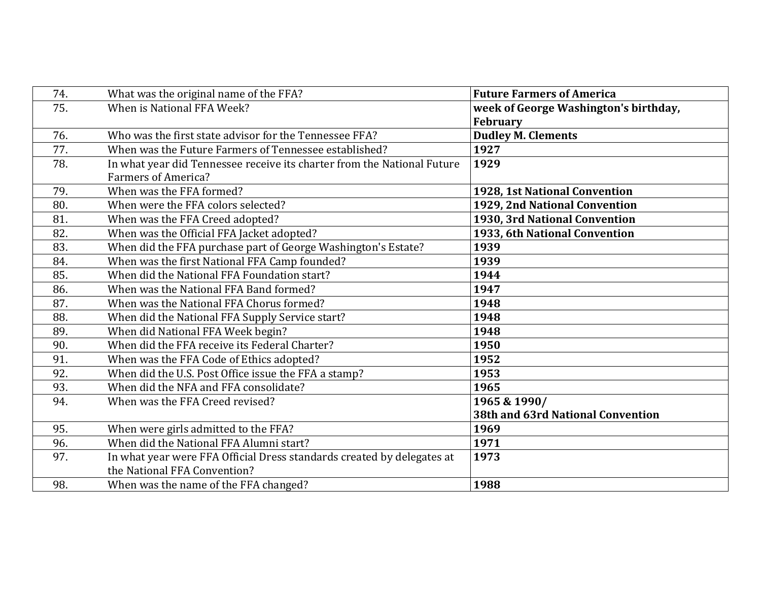| 74. | What was the original name of the FFA?                                  | <b>Future Farmers of America</b>      |
|-----|-------------------------------------------------------------------------|---------------------------------------|
| 75. | When is National FFA Week?                                              | week of George Washington's birthday, |
|     |                                                                         | <b>February</b>                       |
| 76. | Who was the first state advisor for the Tennessee FFA?                  | <b>Dudley M. Clements</b>             |
| 77. | When was the Future Farmers of Tennessee established?                   | 1927                                  |
| 78. | In what year did Tennessee receive its charter from the National Future | 1929                                  |
|     | <b>Farmers of America?</b>                                              |                                       |
| 79. | When was the FFA formed?                                                | 1928, 1st National Convention         |
| 80. | When were the FFA colors selected?                                      | 1929, 2nd National Convention         |
| 81. | When was the FFA Creed adopted?                                         | 1930, 3rd National Convention         |
| 82. | When was the Official FFA Jacket adopted?                               | 1933, 6th National Convention         |
| 83. | When did the FFA purchase part of George Washington's Estate?           | 1939                                  |
| 84. | When was the first National FFA Camp founded?                           | 1939                                  |
| 85. | When did the National FFA Foundation start?                             | 1944                                  |
| 86. | When was the National FFA Band formed?                                  | 1947                                  |
| 87. | When was the National FFA Chorus formed?                                | 1948                                  |
| 88. | When did the National FFA Supply Service start?                         | 1948                                  |
| 89. | When did National FFA Week begin?                                       | 1948                                  |
| 90. | When did the FFA receive its Federal Charter?                           | 1950                                  |
| 91. | When was the FFA Code of Ethics adopted?                                | 1952                                  |
| 92. | When did the U.S. Post Office issue the FFA a stamp?                    | 1953                                  |
| 93. | When did the NFA and FFA consolidate?                                   | 1965                                  |
| 94. | When was the FFA Creed revised?                                         | 1965 & 1990/                          |
|     |                                                                         | 38th and 63rd National Convention     |
| 95. | When were girls admitted to the FFA?                                    | 1969                                  |
| 96. | When did the National FFA Alumni start?                                 | 1971                                  |
| 97. | In what year were FFA Official Dress standards created by delegates at  | 1973                                  |
|     | the National FFA Convention?                                            |                                       |
| 98. | When was the name of the FFA changed?                                   | 1988                                  |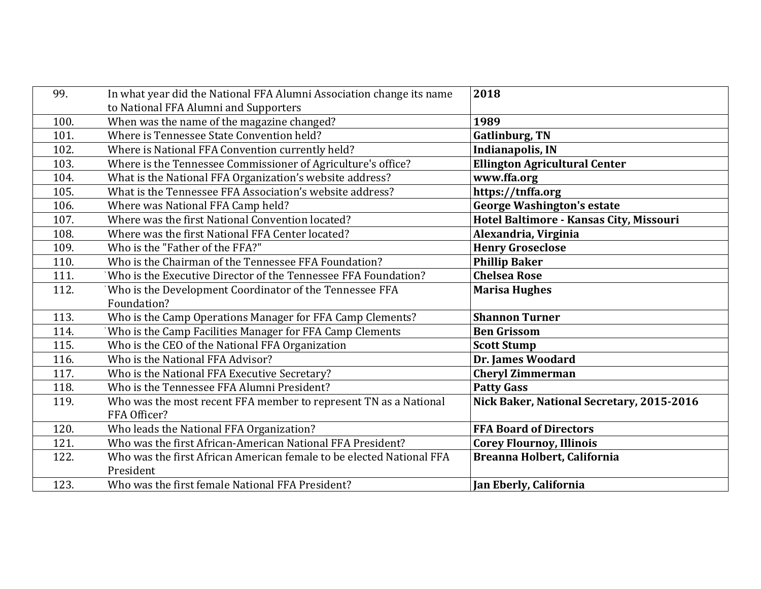| 99.  | In what year did the National FFA Alumni Association change its name | 2018                                      |
|------|----------------------------------------------------------------------|-------------------------------------------|
|      | to National FFA Alumni and Supporters                                |                                           |
| 100. | When was the name of the magazine changed?                           | 1989                                      |
| 101. | Where is Tennessee State Convention held?                            | <b>Gatlinburg, TN</b>                     |
| 102. | Where is National FFA Convention currently held?                     | <b>Indianapolis, IN</b>                   |
| 103. | Where is the Tennessee Commissioner of Agriculture's office?         | <b>Ellington Agricultural Center</b>      |
| 104. | What is the National FFA Organization's website address?             | www.ffa.org                               |
| 105. | What is the Tennessee FFA Association's website address?             | https://tnffa.org                         |
| 106. | Where was National FFA Camp held?                                    | <b>George Washington's estate</b>         |
| 107. | Where was the first National Convention located?                     | Hotel Baltimore - Kansas City, Missouri   |
| 108. | Where was the first National FFA Center located?                     | Alexandria, Virginia                      |
| 109. | Who is the "Father of the FFA?"                                      | <b>Henry Groseclose</b>                   |
| 110. | Who is the Chairman of the Tennessee FFA Foundation?                 | <b>Phillip Baker</b>                      |
| 111. | Who is the Executive Director of the Tennessee FFA Foundation?       | <b>Chelsea Rose</b>                       |
| 112. | Who is the Development Coordinator of the Tennessee FFA              | <b>Marisa Hughes</b>                      |
|      | Foundation?                                                          |                                           |
| 113. | Who is the Camp Operations Manager for FFA Camp Clements?            | <b>Shannon Turner</b>                     |
| 114. | Who is the Camp Facilities Manager for FFA Camp Clements             | <b>Ben Grissom</b>                        |
| 115. | Who is the CEO of the National FFA Organization                      | <b>Scott Stump</b>                        |
| 116. | Who is the National FFA Advisor?                                     | Dr. James Woodard                         |
| 117. | Who is the National FFA Executive Secretary?                         | <b>Cheryl Zimmerman</b>                   |
| 118. | Who is the Tennessee FFA Alumni President?                           | <b>Patty Gass</b>                         |
| 119. | Who was the most recent FFA member to represent TN as a National     | Nick Baker, National Secretary, 2015-2016 |
|      | FFA Officer?                                                         |                                           |
| 120. | Who leads the National FFA Organization?                             | <b>FFA Board of Directors</b>             |
| 121. | Who was the first African-American National FFA President?           | <b>Corey Flournoy, Illinois</b>           |
| 122. | Who was the first African American female to be elected National FFA | Breanna Holbert, California               |
|      | President                                                            |                                           |
| 123. | Who was the first female National FFA President?                     | Jan Eberly, California                    |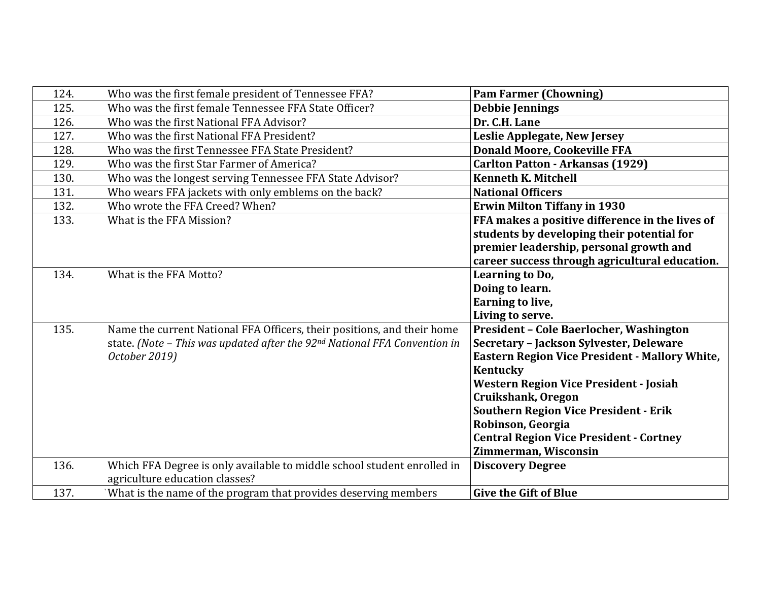| 124. | Who was the first female president of Tennessee FFA?                                  | <b>Pam Farmer (Chowning)</b>                          |
|------|---------------------------------------------------------------------------------------|-------------------------------------------------------|
| 125. | Who was the first female Tennessee FFA State Officer?                                 | <b>Debbie Jennings</b>                                |
| 126. | Who was the first National FFA Advisor?                                               | Dr. C.H. Lane                                         |
| 127. | Who was the first National FFA President?                                             | Leslie Applegate, New Jersey                          |
| 128. | Who was the first Tennessee FFA State President?                                      | <b>Donald Moore, Cookeville FFA</b>                   |
| 129. | Who was the first Star Farmer of America?                                             | <b>Carlton Patton - Arkansas (1929)</b>               |
| 130. | Who was the longest serving Tennessee FFA State Advisor?                              | <b>Kenneth K. Mitchell</b>                            |
| 131. | Who wears FFA jackets with only emblems on the back?                                  | <b>National Officers</b>                              |
| 132. | Who wrote the FFA Creed? When?                                                        | <b>Erwin Milton Tiffany in 1930</b>                   |
| 133. | What is the FFA Mission?                                                              | FFA makes a positive difference in the lives of       |
|      |                                                                                       | students by developing their potential for            |
|      |                                                                                       | premier leadership, personal growth and               |
|      |                                                                                       | career success through agricultural education.        |
| 134. | What is the FFA Motto?                                                                | Learning to Do,                                       |
|      |                                                                                       | Doing to learn.                                       |
|      |                                                                                       | Earning to live,                                      |
|      |                                                                                       | Living to serve.                                      |
| 135. | Name the current National FFA Officers, their positions, and their home               | <b>President - Cole Baerlocher, Washington</b>        |
|      | state. (Note - This was updated after the 92 <sup>nd</sup> National FFA Convention in | Secretary - Jackson Sylvester, Deleware               |
|      | October 2019)                                                                         | <b>Eastern Region Vice President - Mallory White,</b> |
|      |                                                                                       | Kentucky                                              |
|      |                                                                                       | <b>Western Region Vice President - Josiah</b>         |
|      |                                                                                       | Cruikshank, Oregon                                    |
|      |                                                                                       | <b>Southern Region Vice President - Erik</b>          |
|      |                                                                                       | Robinson, Georgia                                     |
|      |                                                                                       | <b>Central Region Vice President - Cortney</b>        |
|      |                                                                                       | Zimmerman, Wisconsin                                  |
| 136. | Which FFA Degree is only available to middle school student enrolled in               | <b>Discovery Degree</b>                               |
|      | agriculture education classes?                                                        |                                                       |
| 137. | What is the name of the program that provides deserving members                       | <b>Give the Gift of Blue</b>                          |